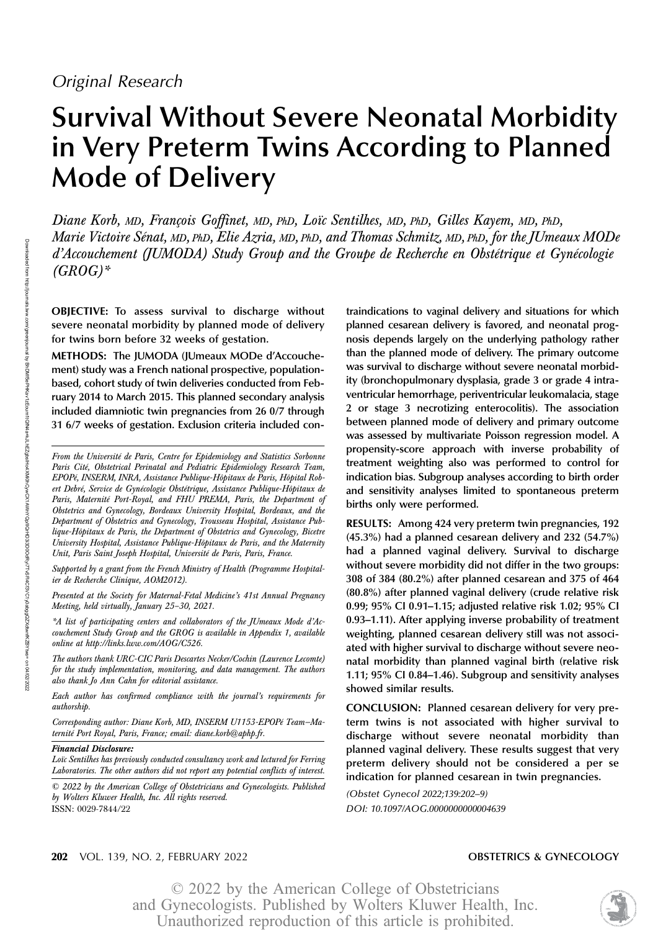# Survival Without Severe Neonatal Morbidity in Very Preterm Twins According to Planned Mode of Delivery

Diane Korb, MD, François Goffinet, MD, PhD, Loïc Sentilhes, MD, PhD, Gilles Kayem, MD, PhD, Marie Victoire Sénat, MD, PhD, Elie Azria, MD, PhD, and Thomas Schmitz, MD, PhD, for the JUmeaux MODe d'Accouchement (JUMODA) Study Group and the Groupe de Recherche en Obstétrique et Gynécologie  $(GROG)^*$ 

OBJECTIVE: To assess survival to discharge without severe neonatal morbidity by planned mode of delivery for twins born before 32 weeks of gestation.

METHODS: The JUMODA (JUmeaux MODe d'Accouchement) study was a French national prospective, populationbased, cohort study of twin deliveries conducted from February 2014 to March 2015. This planned secondary analysis included diamniotic twin pregnancies from 26 0/7 through 31 6/7 weeks of gestation. Exclusion criteria included con-

Supported by a grant from the French Ministry of Health (Programme Hospitalier de Recherche Clinique, AOM2012).

Presented at the Society for Maternal-Fetal Medicine's 41st Annual Pregnancy Meeting, held virtually, January 25–30, 2021.

\*A list of participating centers and collaborators of the JUmeaux Mode d'Accouchement Study Group and the GROG is available in Appendix 1, available online at [http://links.lww.com/AOG/C526.](http://links.lww.com/AOG/C526)

The authors thank URC-CIC Paris Descartes Necker/Cochin (Laurence Lecomte) for the study implementation, monitoring, and data management. The authors also thank Jo Ann Cahn for editorial assistance.

Each author has confirmed compliance with the journal's requirements for authorship.

Corresponding author: Diane Korb, MD, INSERM U1153-EPOPé Team—Maternité Port Royal, Paris, France; email: [diane.korb@aphp.fr](mailto:diane.korb@aphp.fr).

Financial Disclosure:

Loïc Sentilhes has previously conducted consultancy work and lectured for Ferring Laboratories. The other authors did not report any potential conflicts of interest.

© 2022 by the American College of Obstetricians and Gynecologists. Published by Wolters Kluwer Health, Inc. All rights reserved. ISSN: 0029-7844/22

traindications to vaginal delivery and situations for which planned cesarean delivery is favored, and neonatal prognosis depends largely on the underlying pathology rather than the planned mode of delivery. The primary outcome was survival to discharge without severe neonatal morbidity (bronchopulmonary dysplasia, grade 3 or grade 4 intraventricular hemorrhage, periventricular leukomalacia, stage 2 or stage 3 necrotizing enterocolitis). The association between planned mode of delivery and primary outcome was assessed by multivariate Poisson regression model. A propensity-score approach with inverse probability of treatment weighting also was performed to control for indication bias. Subgroup analyses according to birth order and sensitivity analyses limited to spontaneous preterm births only were performed.

RESULTS: Among 424 very preterm twin pregnancies, 192 (45.3%) had a planned cesarean delivery and 232 (54.7%) had a planned vaginal delivery. Survival to discharge without severe morbidity did not differ in the two groups: 308 of 384 (80.2%) after planned cesarean and 375 of 464 (80.8%) after planned vaginal delivery (crude relative risk 0.99; 95% CI 0.91–1.15; adjusted relative risk 1.02; 95% CI 0.93–1.11). After applying inverse probability of treatment weighting, planned cesarean delivery still was not associated with higher survival to discharge without severe neonatal morbidity than planned vaginal birth (relative risk 1.11; 95% CI 0.84–1.46). Subgroup and sensitivity analyses showed similar results.

CONCLUSION: Planned cesarean delivery for very preterm twins is not associated with higher survival to discharge without severe neonatal morbidity than planned vaginal delivery. These results suggest that very preterm delivery should not be considered a per se indication for planned cesarean in twin pregnancies.

(Obstet Gynecol 2022;139:202–9) DOI: 10.1097/AOG.0000000000004639



From the Université de Paris, Centre for Epidemiology and Statistics Sorbonne Paris Cité, Obstetrical Perinatal and Pediatric Epidemiology Research Team, EPOPé, INSERM, INRA, Assistance Publique-Hôpitaux de Paris, Hôpital Robert Debré, Service de Gynécologie Obstétrique, Assistance Publique-Hôpitaux de Paris, Maternité Port-Royal, and FHU PREMA, Paris, the Department of Obstetrics and Gynecology, Bordeaux University Hospital, Bordeaux, and the Department of Obstetrics and Gynecology, Trousseau Hospital, Assistance Publique-Hôpitaux de Paris, the Department of Obstetrics and Gynecology, Bicetre University Hospital, Assistance Publique-Hôpitaux de Paris, and the Maternity Unit, Paris Saint Joseph Hospital, Université de Paris, Paris, France.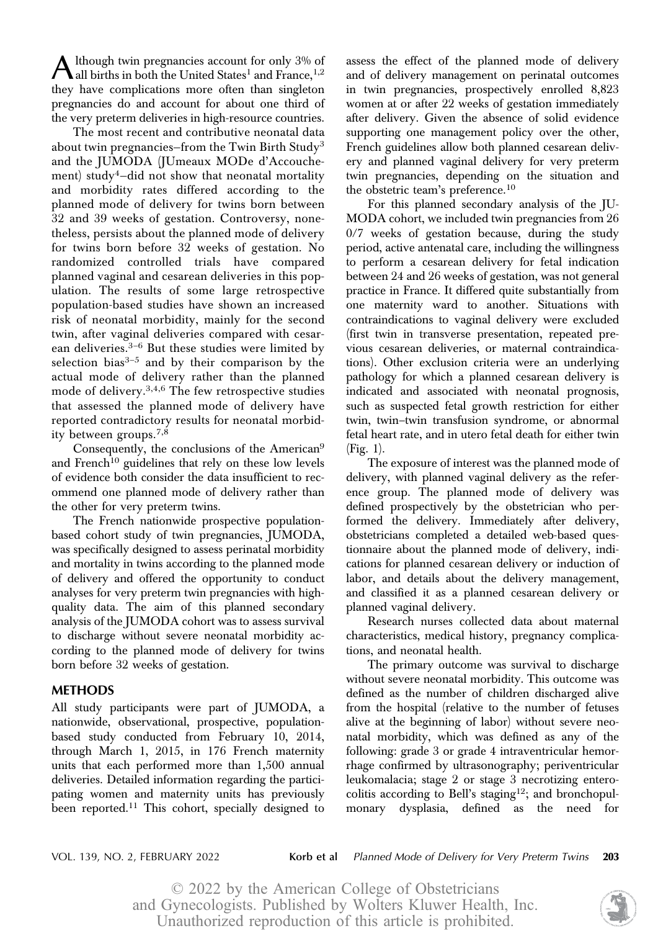A lthough twin pregnancies account for only 3% of<br>all births in both the United States<sup>1</sup> and France,  $1,2$ they have complications more often than singleton pregnancies do and account for about one third of the very preterm deliveries in high-resource countries.

The most recent and contributive neonatal data about twin pregnancies–from the Twin Birth Study<sup>3</sup> and the JUMODA (JUmeaux MODe d'Accouchement) study<sup>4</sup>-did not show that neonatal mortality and morbidity rates differed according to the planned mode of delivery for twins born between 32 and 39 weeks of gestation. Controversy, nonetheless, persists about the planned mode of delivery for twins born before 32 weeks of gestation. No randomized controlled trials have compared planned vaginal and cesarean deliveries in this population. The results of some large retrospective population-based studies have shown an increased risk of neonatal morbidity, mainly for the second twin, after vaginal deliveries compared with cesarean deliveries. $3-6$  But these studies were limited by selection bias $3-5$  and by their comparison by the actual mode of delivery rather than the planned mode of delivery.3,4,6 The few retrospective studies that assessed the planned mode of delivery have reported contradictory results for neonatal morbidity between groups.7,8

Consequently, the conclusions of the American<sup>9</sup> and French<sup>10</sup> guidelines that rely on these low levels of evidence both consider the data insufficient to recommend one planned mode of delivery rather than the other for very preterm twins.

The French nationwide prospective populationbased cohort study of twin pregnancies, JUMODA, was specifically designed to assess perinatal morbidity and mortality in twins according to the planned mode of delivery and offered the opportunity to conduct analyses for very preterm twin pregnancies with highquality data. The aim of this planned secondary analysis of the JUMODA cohort was to assess survival to discharge without severe neonatal morbidity according to the planned mode of delivery for twins born before 32 weeks of gestation.

# **METHODS**

...\_\_\_\_\_\_\_\_<br>All study participants were part of JUMODA, a nationwide, observational, prospective, populationbased study conducted from February 10, 2014, through March 1, 2015, in 176 French maternity units that each performed more than 1,500 annual deliveries. Detailed information regarding the participating women and maternity units has previously been reported.<sup>11</sup> This cohort, specially designed to

assess the effect of the planned mode of delivery and of delivery management on perinatal outcomes in twin pregnancies, prospectively enrolled 8,823 women at or after 22 weeks of gestation immediately after delivery. Given the absence of solid evidence supporting one management policy over the other, French guidelines allow both planned cesarean delivery and planned vaginal delivery for very preterm twin pregnancies, depending on the situation and the obstetric team's preference.<sup>10</sup>

For this planned secondary analysis of the JU-MODA cohort, we included twin pregnancies from 26 0/7 weeks of gestation because, during the study period, active antenatal care, including the willingness to perform a cesarean delivery for fetal indication between 24 and 26 weeks of gestation, was not general practice in France. It differed quite substantially from one maternity ward to another. Situations with contraindications to vaginal delivery were excluded (first twin in transverse presentation, repeated previous cesarean deliveries, or maternal contraindications). Other exclusion criteria were an underlying pathology for which a planned cesarean delivery is indicated and associated with neonatal prognosis, such as suspected fetal growth restriction for either twin, twin–twin transfusion syndrome, or abnormal fetal heart rate, and in utero fetal death for either twin (Fig. 1).

The exposure of interest was the planned mode of delivery, with planned vaginal delivery as the reference group. The planned mode of delivery was defined prospectively by the obstetrician who performed the delivery. Immediately after delivery, obstetricians completed a detailed web-based questionnaire about the planned mode of delivery, indications for planned cesarean delivery or induction of labor, and details about the delivery management, and classified it as a planned cesarean delivery or planned vaginal delivery.

Research nurses collected data about maternal characteristics, medical history, pregnancy complications, and neonatal health.

The primary outcome was survival to discharge without severe neonatal morbidity. This outcome was defined as the number of children discharged alive from the hospital (relative to the number of fetuses alive at the beginning of labor) without severe neonatal morbidity, which was defined as any of the following: grade 3 or grade 4 intraventricular hemorrhage confirmed by ultrasonography; periventricular leukomalacia; stage 2 or stage 3 necrotizing enterocolitis according to Bell's staging<sup>12</sup>; and bronchopulmonary dysplasia, defined as the need for

VOL. 139, NO. 2, FEBRUARY 2022 **Korb et al** Planned Mode of Delivery for Very Preterm Twins 203

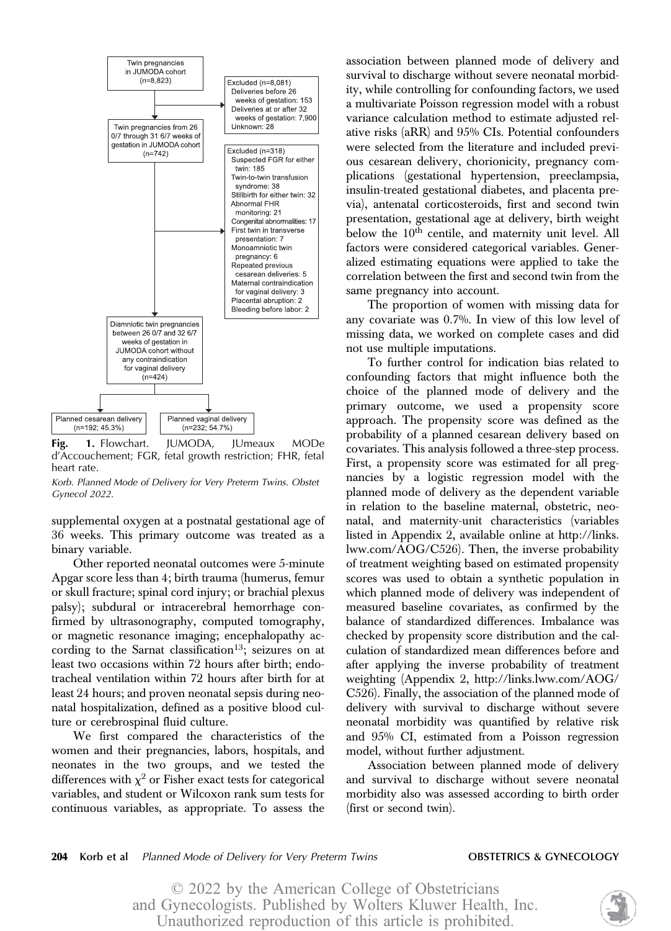

**Fig. 1.** Flowchart. JUMODA, JUmeaux MODe<br>d'Accouchement; FGR, fetal growth restriction; FHR, fetal heart rate.

Korb. Planned Mode of Delivery for Very Preterm Twins. Obstet Gynecol 2022.

supplemental oxygen at a postnatal gestational age of 36 weeks. This primary outcome was treated as a binary variable.

Other reported neonatal outcomes were 5-minute Apgar score less than 4; birth trauma (humerus, femur or skull fracture; spinal cord injury; or brachial plexus palsy); subdural or intracerebral hemorrhage confirmed by ultrasonography, computed tomography, or magnetic resonance imaging; encephalopathy according to the Sarnat classification<sup>13</sup>; seizures on at least two occasions within 72 hours after birth; endotracheal ventilation within 72 hours after birth for at least 24 hours; and proven neonatal sepsis during neonatal hospitalization, defined as a positive blood culture or cerebrospinal fluid culture.

We first compared the characteristics of the women and their pregnancies, labors, hospitals, and neonates in the two groups, and we tested the differences with  $\chi^2$  or Fisher exact tests for categorical variables, and student or Wilcoxon rank sum tests for continuous variables, as appropriate. To assess the

association between planned mode of delivery and survival to discharge without severe neonatal morbidity, while controlling for confounding factors, we used a multivariate Poisson regression model with a robust variance calculation method to estimate adjusted relative risks (aRR) and 95% CIs. Potential confounders were selected from the literature and included previous cesarean delivery, chorionicity, pregnancy complications (gestational hypertension, preeclampsia, insulin-treated gestational diabetes, and placenta previa), antenatal corticosteroids, first and second twin presentation, gestational age at delivery, birth weight below the 10<sup>th</sup> centile, and maternity unit level. All factors were considered categorical variables. Generalized estimating equations were applied to take the correlation between the first and second twin from the same pregnancy into account.

The proportion of women with missing data for any covariate was 0.7%. In view of this low level of missing data, we worked on complete cases and did not use multiple imputations.

To further control for indication bias related to confounding factors that might influence both the choice of the planned mode of delivery and the primary outcome, we used a propensity score approach. The propensity score was defined as the probability of a planned cesarean delivery based on covariates. This analysis followed a three-step process. First, a propensity score was estimated for all pregnancies by a logistic regression model with the planned mode of delivery as the dependent variable in relation to the baseline maternal, obstetric, neonatal, and maternity-unit characteristics (variables listed in Appendix 2, available online at [http://links.](http://links.lww.com/AOG/C526) [lww.com/AOG/C526](http://links.lww.com/AOG/C526)). Then, the inverse probability of treatment weighting based on estimated propensity scores was used to obtain a synthetic population in which planned mode of delivery was independent of measured baseline covariates, as confirmed by the balance of standardized differences. Imbalance was checked by propensity score distribution and the calculation of standardized mean differences before and after applying the inverse probability of treatment weighting (Appendix 2, [http://links.lww.com/AOG/](http://links.lww.com/AOG/C526) [C526](http://links.lww.com/AOG/C526)). Finally, the association of the planned mode of delivery with survival to discharge without severe neonatal morbidity was quantified by relative risk and 95% CI, estimated from a Poisson regression model, without further adjustment.

Association between planned mode of delivery and survival to discharge without severe neonatal morbidity also was assessed according to birth order (first or second twin).

### 204 Korb et al Planned Mode of Delivery for Very Preterm Twins **OBSTETRICS & GYNECOLOGY**

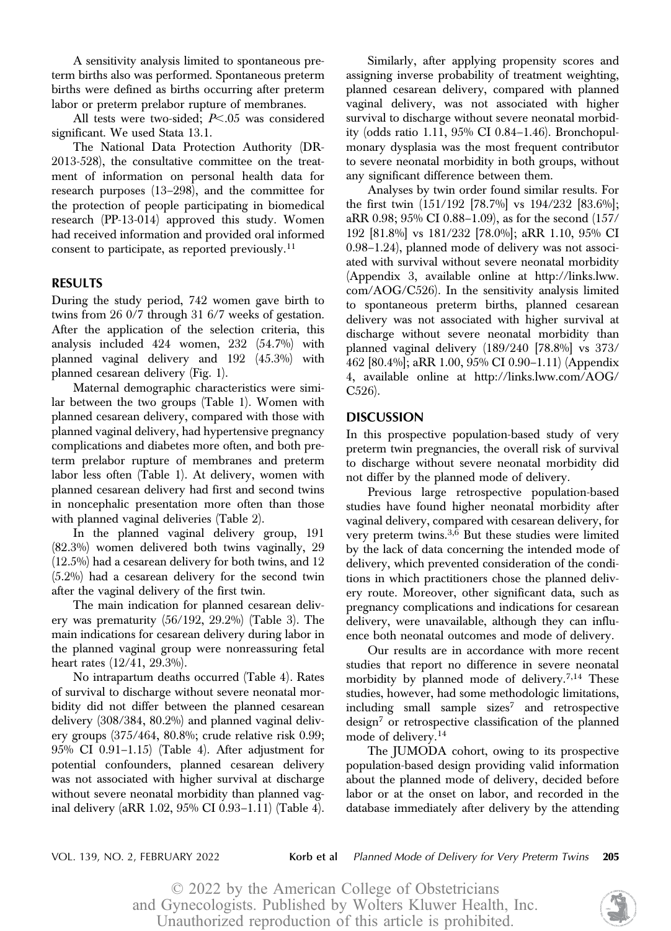A sensitivity analysis limited to spontaneous preterm births also was performed. Spontaneous preterm births were defined as births occurring after preterm labor or preterm prelabor rupture of membranes.

All tests were two-sided;  $P<.05$  was considered significant. We used Stata 13.1.

The National Data Protection Authority (DR-2013-528), the consultative committee on the treatment of information on personal health data for research purposes (13–298), and the committee for the protection of people participating in biomedical research (PP-13-014) approved this study. Women had received information and provided oral informed consent to participate, as reported previously.<sup>11</sup>

# **RESULTS**

During the study period, 742 women gave birth to twins from 26 0/7 through 31 6/7 weeks of gestation. After the application of the selection criteria, this analysis included 424 women, 232 (54.7%) with planned vaginal delivery and 192 (45.3%) with planned cesarean delivery (Fig. 1).

Maternal demographic characteristics were similar between the two groups (Table 1). Women with planned cesarean delivery, compared with those with planned vaginal delivery, had hypertensive pregnancy complications and diabetes more often, and both preterm prelabor rupture of membranes and preterm labor less often (Table 1). At delivery, women with planned cesarean delivery had first and second twins in noncephalic presentation more often than those with planned vaginal deliveries (Table 2).

In the planned vaginal delivery group, 191 (82.3%) women delivered both twins vaginally, 29 (12.5%) had a cesarean delivery for both twins, and 12 (5.2%) had a cesarean delivery for the second twin after the vaginal delivery of the first twin.

The main indication for planned cesarean delivery was prematurity (56/192, 29.2%) (Table 3). The main indications for cesarean delivery during labor in the planned vaginal group were nonreassuring fetal heart rates (12/41, 29.3%).

No intrapartum deaths occurred (Table 4). Rates of survival to discharge without severe neonatal morbidity did not differ between the planned cesarean delivery (308/384, 80.2%) and planned vaginal delivery groups (375/464, 80.8%; crude relative risk 0.99; 95% CI 0.91–1.15) (Table 4). After adjustment for potential confounders, planned cesarean delivery was not associated with higher survival at discharge without severe neonatal morbidity than planned vaginal delivery (aRR 1.02, 95% CI 0.93–1.11) (Table 4).

Similarly, after applying propensity scores and assigning inverse probability of treatment weighting, planned cesarean delivery, compared with planned vaginal delivery, was not associated with higher survival to discharge without severe neonatal morbidity (odds ratio 1.11, 95% CI 0.84–1.46). Bronchopulmonary dysplasia was the most frequent contributor to severe neonatal morbidity in both groups, without any significant difference between them.

Analyses by twin order found similar results. For the first twin (151/192 [78.7%] vs 194/232 [83.6%]; aRR 0.98; 95% CI 0.88–1.09), as for the second (157/ 192 [81.8%] vs 181/232 [78.0%]; aRR 1.10, 95% CI 0.98–1.24), planned mode of delivery was not associated with survival without severe neonatal morbidity (Appendix 3, available online at [http://links.lww.](http://links.lww.com/AOG/C526) [com/AOG/C526](http://links.lww.com/AOG/C526)). In the sensitivity analysis limited to spontaneous preterm births, planned cesarean delivery was not associated with higher survival at discharge without severe neonatal morbidity than planned vaginal delivery (189/240 [78.8%] vs 373/ 462 [80.4%]; aRR 1.00, 95% CI 0.90–1.11) (Appendix 4, available online at [http://links.lww.com/AOG/](http://links.lww.com/AOG/C526) [C526](http://links.lww.com/AOG/C526)).

In this prospective population-based study of very preterm twin pregnancies, the overall risk of survival to discharge without severe neonatal morbidity did not differ by the planned mode of delivery.

Previous large retrospective population-based studies have found higher neonatal morbidity after vaginal delivery, compared with cesarean delivery, for very preterm twins. $3,6$  But these studies were limited by the lack of data concerning the intended mode of delivery, which prevented consideration of the conditions in which practitioners chose the planned delivery route. Moreover, other significant data, such as pregnancy complications and indications for cesarean delivery, were unavailable, although they can influence both neonatal outcomes and mode of delivery.

Our results are in accordance with more recent studies that report no difference in severe neonatal morbidity by planned mode of delivery.<sup>7,14</sup> These studies, however, had some methodologic limitations,  $including$  small sample sizes<sup>7</sup> and retrospective  $\text{design}^7$  or retrospective classification of the planned mode of delivery.<sup>14</sup>

The JUMODA cohort, owing to its prospective population-based design providing valid information about the planned mode of delivery, decided before labor or at the onset on labor, and recorded in the database immediately after delivery by the attending

VOL. 139, NO. 2, FEBRUARY 2022 **Korb et al** Planned Mode of Delivery for Very Preterm Twins **205**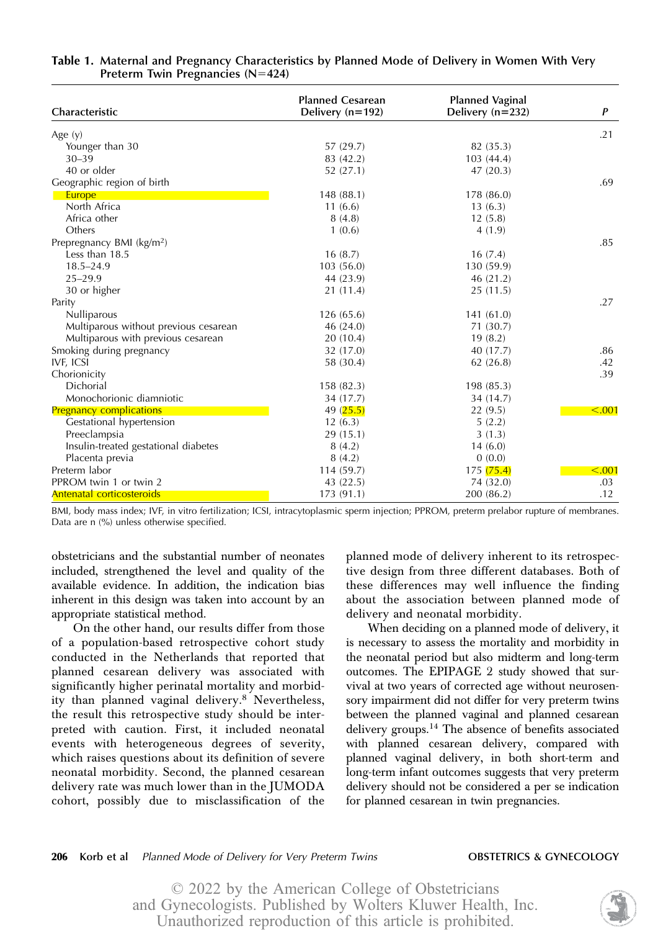| Characteristic                        | <b>Planned Cesarean</b><br>Delivery $(n=192)$ | <b>Planned Vaginal</b><br>Delivery $(n=232)$ | P            |  |
|---------------------------------------|-----------------------------------------------|----------------------------------------------|--------------|--|
|                                       |                                               |                                              |              |  |
| Age $(y)$                             |                                               |                                              | .21          |  |
| Younger than 30                       | 57 (29.7)                                     | 82 (35.3)                                    |              |  |
| $30 - 39$                             | 83 (42.2)                                     | 103(44.4)                                    |              |  |
| 40 or older                           | 52 (27.1)                                     | 47(20.3)                                     |              |  |
| Geographic region of birth            |                                               |                                              | .69          |  |
| Europe                                | 148 (88.1)                                    | 178 (86.0)                                   |              |  |
| North Africa                          | 11(6.6)                                       | 13(6.3)                                      |              |  |
| Africa other                          | 8(4.8)                                        | 12(5.8)                                      |              |  |
| Others                                | 1(0.6)                                        | 4(1.9)                                       |              |  |
| Prepregnancy BMI (kg/m <sup>2</sup> ) |                                               |                                              | .85          |  |
| Less than 18.5                        | 16(8.7)                                       | 16(7.4)                                      |              |  |
| $18.5 - 24.9$                         | 103(56.0)                                     | 130 (59.9)                                   |              |  |
| $25 - 29.9$                           | 44 (23.9)                                     | 46 (21.2)                                    |              |  |
| 30 or higher                          | 21 (11.4)                                     | 25(11.5)                                     |              |  |
| Parity                                |                                               |                                              | .27          |  |
| Nulliparous                           | 126 (65.6)                                    | 141(61.0)                                    |              |  |
| Multiparous without previous cesarean | 46 (24.0)                                     | 71 (30.7)                                    |              |  |
| Multiparous with previous cesarean    | 20(10.4)                                      | 19(8.2)                                      |              |  |
| Smoking during pregnancy              | 32 (17.0)                                     | 40 (17.7)                                    | .86          |  |
| IVF, ICSI                             | 58 (30.4)                                     | 62(26.8)                                     | .42          |  |
| Chorionicity                          |                                               |                                              | .39          |  |
| Dichorial                             | 158 (82.3)                                    | 198 (85.3)                                   |              |  |
| Monochorionic diamniotic              | 34 (17.7)                                     | 34 (14.7)                                    |              |  |
| <b>Pregnancy complications</b>        | 49 $(25.5)$                                   | 22(9.5)                                      | $\leq 0.001$ |  |
| Gestational hypertension              | 12(6.3)                                       | 5(2.2)                                       |              |  |
| Preeclampsia                          | 29(15.1)                                      | 3(1.3)                                       |              |  |
| Insulin-treated gestational diabetes  | 8(4.2)                                        | 14(6.0)                                      |              |  |
| Placenta previa                       | 8(4.2)                                        | 0(0.0)                                       |              |  |
| Preterm labor                         | 114 (59.7)                                    | 175 (75.4)                                   | $\leq 0.001$ |  |
| PPROM twin 1 or twin 2                | 43 (22.5)                                     | 74 (32.0)                                    | .03          |  |
| Antenatal corticosteroids             | 173(91.1)                                     | 200 (86.2)                                   | .12          |  |

# Table 1. Maternal and Pregnancy Characteristics by Planned Mode of Delivery in Women With Very Preterm Twin Pregnancies  $(N=424)$

BMI, body mass index; IVF, in vitro fertilization; ICSI, intracytoplasmic sperm injection; PPROM, preterm prelabor rupture of membranes. Data are n (%) unless otherwise specified.

obstetricians and the substantial number of neonates included, strengthened the level and quality of the available evidence. In addition, the indication bias inherent in this design was taken into account by an appropriate statistical method.

On the other hand, our results differ from those of a population-based retrospective cohort study conducted in the Netherlands that reported that planned cesarean delivery was associated with significantly higher perinatal mortality and morbidity than planned vaginal delivery.<sup>8</sup> Nevertheless, the result this retrospective study should be interpreted with caution. First, it included neonatal events with heterogeneous degrees of severity, which raises questions about its definition of severe neonatal morbidity. Second, the planned cesarean delivery rate was much lower than in the JUMODA cohort, possibly due to misclassification of the planned mode of delivery inherent to its retrospective design from three different databases. Both of these differences may well influence the finding about the association between planned mode of delivery and neonatal morbidity.

When deciding on a planned mode of delivery, it is necessary to assess the mortality and morbidity in the neonatal period but also midterm and long-term outcomes. The EPIPAGE 2 study showed that survival at two years of corrected age without neurosensory impairment did not differ for very preterm twins between the planned vaginal and planned cesarean delivery groups.<sup>14</sup> The absence of benefits associated with planned cesarean delivery, compared with planned vaginal delivery, in both short-term and long-term infant outcomes suggests that very preterm delivery should not be considered a per se indication for planned cesarean in twin pregnancies.

### 206 Korb et al Planned Mode of Delivery for Very Preterm Twins **OBSTETRICS & GYNECOLOGY**

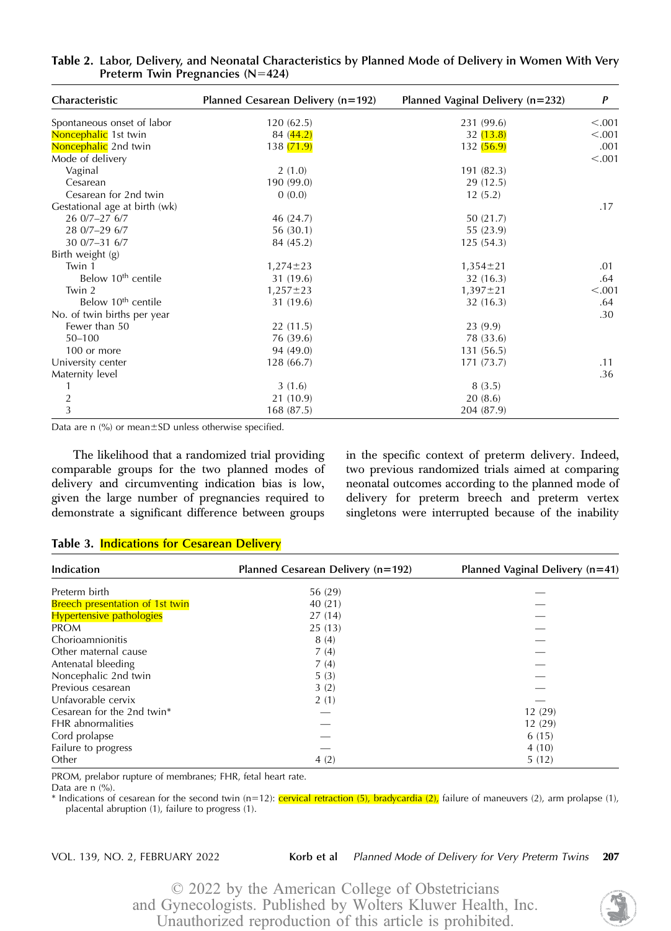| Characteristic                 | Planned Cesarean Delivery (n=192) | Planned Vaginal Delivery (n=232) | P       |  |
|--------------------------------|-----------------------------------|----------------------------------|---------|--|
| Spontaneous onset of labor     | 120(62.5)                         | 231 (99.6)                       | < .001  |  |
| Noncephalic 1st twin           | 84(44.2)                          | 32(13.8)                         | < .001  |  |
| Noncephalic 2nd twin           | 138 (71.9)                        | 132(56.9)                        | .001    |  |
| Mode of delivery               |                                   |                                  | < 0.001 |  |
| Vaginal                        | 2(1.0)                            | 191 (82.3)                       |         |  |
| Cesarean                       | 190 (99.0)                        | 29 (12.5)                        |         |  |
| Cesarean for 2nd twin          | 0(0.0)                            | 12(5.2)                          |         |  |
| Gestational age at birth (wk)  |                                   |                                  | .17     |  |
| 26 0/7-27 6/7                  | 46 (24.7)                         | 50(21.7)                         |         |  |
| 28 0/7-29 6/7                  | 56(30.1)                          | 55 (23.9)                        |         |  |
| $300/7 - 316/7$                | 84 (45.2)                         | 125(54.3)                        |         |  |
| Birth weight (g)               |                                   |                                  |         |  |
| Twin 1                         | $1,274 \pm 23$                    | $1,354 \pm 21$                   | .01     |  |
| Below 10 <sup>th</sup> centile | 31 (19.6)                         | 32(16.3)                         | .64     |  |
| Twin 2                         | $1,257 \pm 23$                    | $1,397 \pm 21$                   | < 0.001 |  |
| Below 10 <sup>th</sup> centile | 31 (19.6)                         | 32(16.3)                         | .64     |  |
| No. of twin births per year    |                                   |                                  | .30     |  |
| Fewer than 50                  | 22(11.5)                          | 23(9.9)                          |         |  |
| $50 - 100$                     | 76 (39.6)                         | 78 (33.6)                        |         |  |
| 100 or more                    | 94 (49.0)                         | 131(56.5)                        |         |  |
| University center              | 128(66.7)                         | 171 (73.7)                       | .11     |  |
| Maternity level                |                                   |                                  | .36     |  |
| 1                              | 3(1.6)                            | 8(3.5)                           |         |  |
| $\overline{c}$                 | 21 (10.9)                         | 20(8.6)                          |         |  |
| 3                              | 168(87.5)                         | 204 (87.9)                       |         |  |

Table 2. Labor, Delivery, and Neonatal Characteristics by Planned Mode of Delivery in Women With Very Preterm Twin Pregnancies  $(N=424)$ 

Data are n  $\frac{9}{6}$  or mean  $\pm$  SD unless otherwise specified.

The likelihood that a randomized trial providing comparable groups for the two planned modes of delivery and circumventing indication bias is low, given the large number of pregnancies required to demonstrate a significant difference between groups in the specific context of preterm delivery. Indeed, two previous randomized trials aimed at comparing neonatal outcomes according to the planned mode of delivery for preterm breech and preterm vertex singletons were interrupted because of the inability

### Table 3. Indications for Cesarean Delivery

| Indication                             | Planned Cesarean Delivery (n=192) | Planned Vaginal Delivery $(n=41)$ |  |  |
|----------------------------------------|-----------------------------------|-----------------------------------|--|--|
| Preterm birth                          | 56 (29)                           |                                   |  |  |
| <b>Breech presentation of 1st twin</b> | 40(21)                            |                                   |  |  |
| <b>Hypertensive pathologies</b>        | 27(14)                            |                                   |  |  |
| <b>PROM</b>                            | 25(13)                            |                                   |  |  |
| Chorioamnionitis                       | 8(4)                              |                                   |  |  |
| Other maternal cause                   | 7(4)                              |                                   |  |  |
| Antenatal bleeding                     | 7(4)                              |                                   |  |  |
| Noncephalic 2nd twin                   | 5(3)                              |                                   |  |  |
| Previous cesarean                      | 3(2)                              |                                   |  |  |
| Unfavorable cervix                     | 2(1)                              |                                   |  |  |
| Cesarean for the 2nd twin*             |                                   | 12(29)                            |  |  |
| FHR abnormalities                      |                                   | 12 (29)                           |  |  |
| Cord prolapse                          |                                   | 6(15)                             |  |  |
| Failure to progress                    |                                   | 4(10)                             |  |  |
| Other                                  | 4(2)                              | 5(12)                             |  |  |

PROM, prelabor rupture of membranes; FHR, fetal heart rate.

Data are  $n$   $\left(\frac{9}{6}\right)$ .

\* Indications of cesarean for the second twin (n=12): *cervical retraction* (5), bradycardia (2), failure of maneuvers (2), arm prolapse (1), placental abruption (1), failure to progress (1).

VOL. 139, NO. 2, FEBRUARY 2022 **Korb et al** Planned Mode of Delivery for Very Preterm Twins **207** 

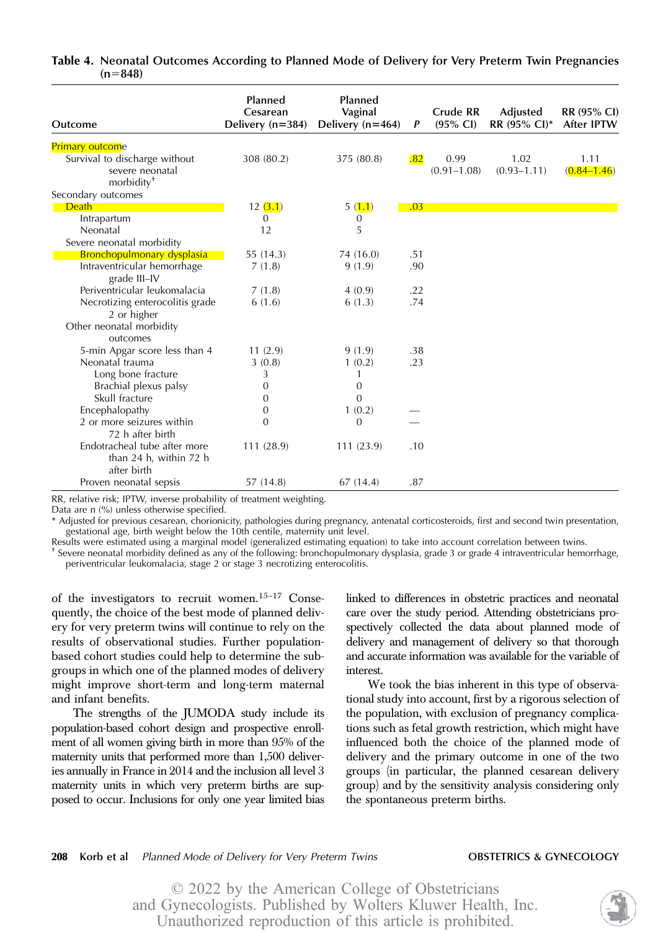| Outcome                                                                    | Planned<br>Cesarean<br>Delivery $(n=384)$ | Planned<br>Vaginal<br>Delivery $(n=464)$ | P   | Crude RR<br>$(95\% \text{ Cl})$ | Adjusted<br>RR (95% CI)* | RR (95% CI)<br>After IPTW |
|----------------------------------------------------------------------------|-------------------------------------------|------------------------------------------|-----|---------------------------------|--------------------------|---------------------------|
| <b>Primary outcome</b>                                                     |                                           |                                          |     |                                 |                          |                           |
| Survival to discharge without<br>severe neonatal<br>morbidity <sup>+</sup> | 308 (80.2)                                | 375 (80.8)                               | .82 | 0.99<br>$(0.91 - 1.08)$         | 1.02<br>$(0.93 - 1.11)$  | 1.11<br>$(0.84 - 1.46)$   |
| Secondary outcomes                                                         |                                           |                                          |     |                                 |                          |                           |
| Death                                                                      | 12(3.1)                                   | 5(1.1)                                   | .03 |                                 |                          |                           |
| Intrapartum                                                                | 0                                         | 0                                        |     |                                 |                          |                           |
| Neonatal                                                                   | 12                                        | 5                                        |     |                                 |                          |                           |
| Severe neonatal morbidity                                                  |                                           |                                          |     |                                 |                          |                           |
| Bronchopulmonary dysplasia                                                 | 55 (14.3)                                 | 74 (16.0)                                | .51 |                                 |                          |                           |
| Intraventricular hemorrhage<br>grade III-IV                                | 7(1.8)                                    | 9(1.9)                                   | .90 |                                 |                          |                           |
| Periventricular leukomalacia                                               | 7(1.8)                                    | 4(0.9)                                   | .22 |                                 |                          |                           |
| Necrotizing enterocolitis grade<br>2 or higher                             | 6(1.6)                                    | 6(1.3)                                   | .74 |                                 |                          |                           |
| Other neonatal morbidity<br>outcomes                                       |                                           |                                          |     |                                 |                          |                           |
| 5-min Apgar score less than 4                                              | 11(2.9)                                   | 9(1.9)                                   | .38 |                                 |                          |                           |
| Neonatal trauma                                                            | 3(0.8)                                    | 1(0.2)                                   | .23 |                                 |                          |                           |
| Long bone fracture                                                         | 3                                         | 1                                        |     |                                 |                          |                           |
| Brachial plexus palsy                                                      | 0                                         | $\overline{0}$                           |     |                                 |                          |                           |
| Skull fracture                                                             | 0                                         | 0                                        |     |                                 |                          |                           |
| Encephalopathy                                                             | $\boldsymbol{0}$                          | 1(0.2)                                   |     |                                 |                          |                           |
| 2 or more seizures within<br>72 h after birth                              | $\mathbf{0}$                              | 0                                        |     |                                 |                          |                           |
| Endotracheal tube after more<br>than 24 h, within 72 h<br>after birth      | 111 (28.9)                                | 111 (23.9)                               | .10 |                                 |                          |                           |
| Proven neonatal sepsis                                                     | 57 (14.8)                                 | 67(14.4)                                 | .87 |                                 |                          |                           |

### Table 4. Neonatal Outcomes According to Planned Mode of Delivery for Very Preterm Twin Pregnancies  $(n=848)$

RR, relative risk; IPTW, inverse probability of treatment weighting.

Data are n (%) unless otherwise specified.

\* Adjusted for previous cesarean, chorionicity, pathologies during pregnancy, antenatal corticosteroids, first and second twin presentation, gestational age, birth weight below the 10th centile, maternity unit level.

Results were estimated using a marginal model (generalized estimating equation) to take into account correlation between twins.

† Severe neonatal morbidity defined as any of the following: bronchopulmonary dysplasia, grade 3 or grade 4 intraventricular hemorrhage, periventricular leukomalacia, stage 2 or stage 3 necrotizing enterocolitis.

of the investigators to recruit women.15–<sup>17</sup> Consequently, the choice of the best mode of planned delivery for very preterm twins will continue to rely on the results of observational studies. Further populationbased cohort studies could help to determine the subgroups in which one of the planned modes of delivery might improve short-term and long-term maternal and infant benefits.

The strengths of the JUMODA study include its population-based cohort design and prospective enrollment of all women giving birth in more than 95% of the maternity units that performed more than 1,500 deliveries annually in France in 2014 and the inclusion all level 3 maternity units in which very preterm births are supposed to occur. Inclusions for only one year limited bias linked to differences in obstetric practices and neonatal care over the study period. Attending obstetricians prospectively collected the data about planned mode of delivery and management of delivery so that thorough and accurate information was available for the variable of interest.

We took the bias inherent in this type of observational study into account, first by a rigorous selection of the population, with exclusion of pregnancy complications such as fetal growth restriction, which might have influenced both the choice of the planned mode of delivery and the primary outcome in one of the two groups (in particular, the planned cesarean delivery group) and by the sensitivity analysis considering only the spontaneous preterm births.

### 208 Korb et al Planned Mode of Delivery for Very Preterm Twins **OBSTETRICS & GYNECOLOGY**